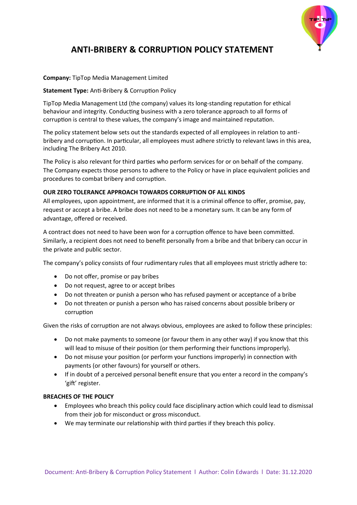

# **ANTI-BRIBERY & CORRUPTION POLICY STATEMENT**

## **Company:** TipTop Media Management Limited

### **Statement Type:** Anti-Bribery & Corruption Policy

TipTop Media Management Ltd (the company) values its long-standing reputation for ethical behaviour and integrity. Conducting business with a zero tolerance approach to all forms of corruption is central to these values, the company's image and maintained reputation.

The policy statement below sets out the standards expected of all employees in relation to antibribery and corruption. In particular, all employees must adhere strictly to relevant laws in this area, including The Bribery Act 2010.

The Policy is also relevant for third parties who perform services for or on behalf of the company. The Company expects those persons to adhere to the Policy or have in place equivalent policies and procedures to combat bribery and corruption.

#### **OUR ZERO TOLERANCE APPROACH TOWARDS CORRUPTION OF ALL KINDS**

All employees, upon appointment, are informed that it is a criminal offence to offer, promise, pay, request or accept a bribe. A bribe does not need to be a monetary sum. It can be any form of advantage, offered or received.

A contract does not need to have been won for a corruption offence to have been committed. Similarly, a recipient does not need to benefit personally from a bribe and that bribery can occur in the private and public sector.

The company's policy consists of four rudimentary rules that all employees must strictly adhere to:

- Do not offer, promise or pay bribes
- Do not request, agree to or accept bribes
- Do not threaten or punish a person who has refused payment or acceptance of a bribe
- Do not threaten or punish a person who has raised concerns about possible bribery or corruption

Given the risks of corruption are not always obvious, employees are asked to follow these principles:

- Do not make payments to someone (or favour them in any other way) if you know that this will lead to misuse of their position (or them performing their functions improperly).
- Do not misuse your position (or perform your functions improperly) in connection with payments (or other favours) for yourself or others.
- If in doubt of a perceived personal benefit ensure that you enter a record in the company's 'gift' register.

## **BREACHES OF THE POLICY**

- Employees who breach this policy could face disciplinary action which could lead to dismissal from their job for misconduct or gross misconduct.
- We may terminate our relationship with third parties if they breach this policy.